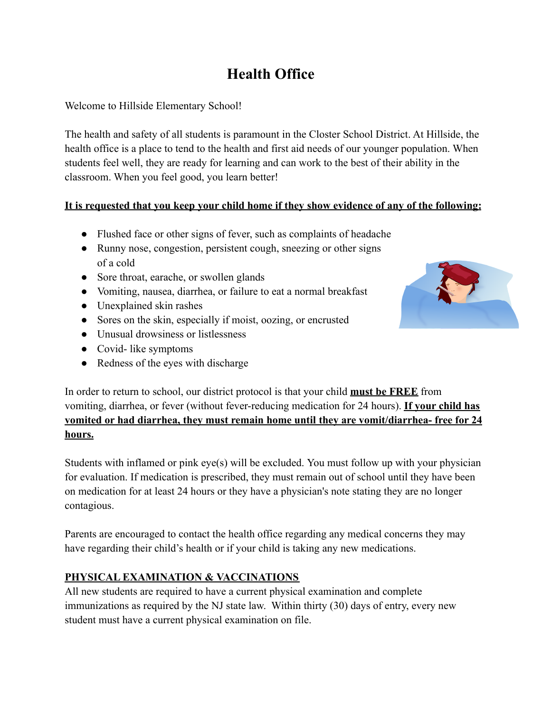# **Health Office**

Welcome to Hillside Elementary School!

The health and safety of all students is paramount in the Closter School District. At Hillside, the health office is a place to tend to the health and first aid needs of our younger population. When students feel well, they are ready for learning and can work to the best of their ability in the classroom. When you feel good, you learn better!

## **It is requested that you keep your child home if they show evidence of any of the following:**

- Flushed face or other signs of fever, such as complaints of headache
- Runny nose, congestion, persistent cough, sneezing or other signs of a cold
- Sore throat, earache, or swollen glands
- Vomiting, nausea, diarrhea, or failure to eat a normal breakfast
- Unexplained skin rashes
- Sores on the skin, especially if moist, oozing, or encrusted
- Unusual drowsiness or listlessness
- Covid- like symptoms
- Redness of the eyes with discharge



In order to return to school, our district protocol is that your child **must be FREE** from vomiting, diarrhea, or fever (without fever-reducing medication for 24 hours). **If your child has vomited or had diarrhea, they must remain home until they are vomit/diarrhea- free for 24 hours.**

Students with inflamed or pink eye(s) will be excluded. You must follow up with your physician for evaluation. If medication is prescribed, they must remain out of school until they have been on medication for at least 24 hours or they have a physician's note stating they are no longer contagious.

Parents are encouraged to contact the health office regarding any medical concerns they may have regarding their child's health or if your child is taking any new medications.

## **PHYSICAL EXAMINATION & VACCINATIONS**

All new students are required to have a current physical examination and complete immunizations as required by the NJ state law. Within thirty (30) days of entry, every new student must have a current physical examination on file.